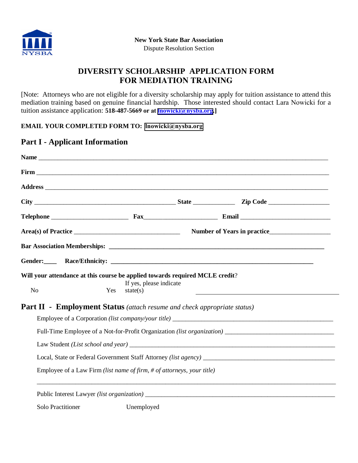

# **DIVERSITY SCHOLARSHIP APPLICATION FORM FOR MEDIATION TRAINING**

[Note: Attorneys who are not eligible for a diversity scholarship may apply for tuition assistance to attend this mediation training based on genuine financial hardship. Those interested should contact Lara Nowicki for a tuition assistance application: **518-487-5669 or at lnowicki[@nysba.org](mailto:lnowicki@nysba.org).]** 

#### **EMAIL YOUR COMPLETED FORM TO: lnowicki[@nysba.org](mailto:lnowicki@nysba.org)**

#### **Part I - Applicant Information**

| Will your attendance at this course be applied towards required MCLE credit?<br>N <sub>o</sub> | If yes, please indicate<br>Yes<br>state(s)                             |  |                                                                                |  |
|------------------------------------------------------------------------------------------------|------------------------------------------------------------------------|--|--------------------------------------------------------------------------------|--|
| <b>Part II - Employment Status</b> (attach resume and check appropriate status)                |                                                                        |  |                                                                                |  |
|                                                                                                |                                                                        |  |                                                                                |  |
|                                                                                                |                                                                        |  | Full-Time Employee of a Not-for-Profit Organization <i>(list organization)</i> |  |
|                                                                                                |                                                                        |  |                                                                                |  |
|                                                                                                |                                                                        |  |                                                                                |  |
|                                                                                                | Employee of a Law Firm (list name of firm, # of attorneys, your title) |  |                                                                                |  |
|                                                                                                |                                                                        |  |                                                                                |  |
| <b>Solo Practitioner</b>                                                                       | Unemployed                                                             |  |                                                                                |  |